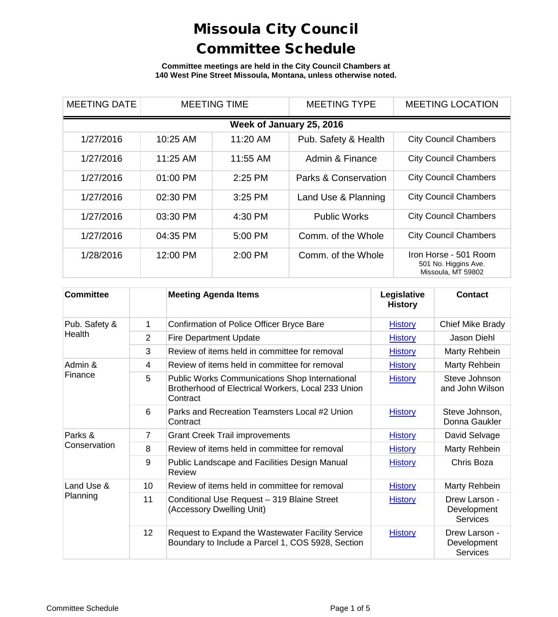**Committee meetings are held in the City Council Chambers at 140 West Pine Street Missoula, Montana, unless otherwise noted.**

| <b>MEETING DATE</b> |            | <b>MEETING TIME</b>      | <b>MEETING TYPE</b>  | <b>MEETING LOCATION</b>                                             |
|---------------------|------------|--------------------------|----------------------|---------------------------------------------------------------------|
|                     |            | Week of January 25, 2016 |                      |                                                                     |
| 1/27/2016           | 10:25 AM   | 11:20 AM                 | Pub. Safety & Health | <b>City Council Chambers</b>                                        |
| 1/27/2016           | $11:25$ AM | 11:55 AM                 | Admin & Finance      | <b>City Council Chambers</b>                                        |
| 1/27/2016           | $01:00$ PM | $2:25$ PM                | Parks & Conservation | <b>City Council Chambers</b>                                        |
| 1/27/2016           | 02:30 PM   | 3:25 PM                  | Land Use & Planning  | <b>City Council Chambers</b>                                        |
| 1/27/2016           | 03:30 PM   | 4:30 PM                  | <b>Public Works</b>  | <b>City Council Chambers</b>                                        |
| 1/27/2016           | 04:35 PM   | 5:00 PM                  | Comm. of the Whole   | <b>City Council Chambers</b>                                        |
| 1/28/2016           | 12:00 PM   | $2:00$ PM                | Comm. of the Whole   | Iron Horse - 501 Room<br>501 No. Higgins Ave.<br>Missoula, MT 59802 |

| <b>Committee</b> |    | <b>Meeting Agenda Items</b>                                                                                             | Legislative<br><b>History</b> | Contact                                         |
|------------------|----|-------------------------------------------------------------------------------------------------------------------------|-------------------------------|-------------------------------------------------|
| Pub. Safety &    | 1  | Confirmation of Police Officer Bryce Bare                                                                               | <b>History</b>                | Chief Mike Brady                                |
| Health           | 2  | <b>Fire Department Update</b>                                                                                           | <b>History</b>                | Jason Diehl                                     |
|                  | 3  | Review of items held in committee for removal                                                                           | <b>History</b>                | Marty Rehbein                                   |
| Admin &          | 4  | Review of items held in committee for removal                                                                           | <b>History</b>                | Marty Rehbein                                   |
| Finance          | 5  | <b>Public Works Communications Shop International</b><br>Brotherhood of Electrical Workers, Local 233 Union<br>Contract | <b>History</b>                | Steve Johnson<br>and John Wilson                |
|                  | 6  | Parks and Recreation Teamsters Local #2 Union<br>Contract                                                               | <b>History</b>                | Steve Johnson,<br>Donna Gaukler                 |
| Parks &          | 7  | <b>Grant Creek Trail improvements</b>                                                                                   | <b>History</b>                | David Selvage                                   |
| Conservation     | 8  | Review of items held in committee for removal                                                                           | <b>History</b>                | Marty Rehbein                                   |
|                  | 9  | Public Landscape and Facilities Design Manual<br>Review                                                                 | <b>History</b>                | Chris Boza                                      |
| Land Use &       | 10 | Review of items held in committee for removal                                                                           | <b>History</b>                | Marty Rehbein                                   |
| Planning         | 11 | Conditional Use Request - 319 Blaine Street<br>(Accessory Dwelling Unit)                                                | <b>History</b>                | Drew Larson -<br>Development<br><b>Services</b> |
|                  | 12 | Request to Expand the Wastewater Facility Service<br>Boundary to Include a Parcel 1, COS 5928, Section                  | <b>History</b>                | Drew Larson -<br>Development<br><b>Services</b> |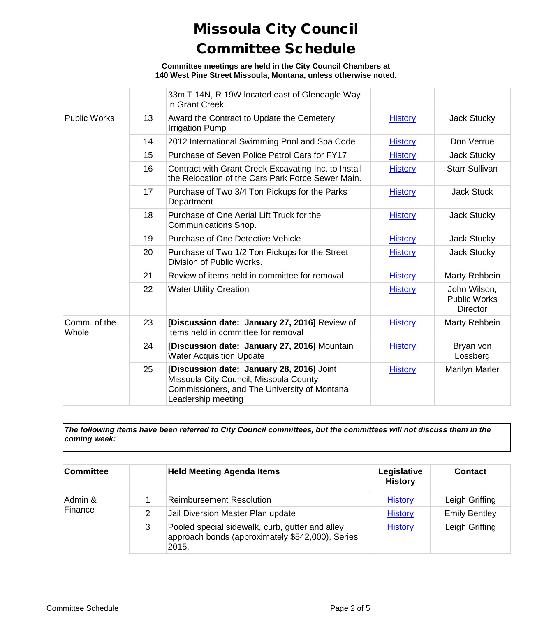**Committee meetings are held in the City Council Chambers at 140 West Pine Street Missoula, Montana, unless otherwise noted.**

|                       |    | 33m T 14N, R 19W located east of Gleneagle Way<br>in Grant Creek.                                                                                         |                |                                                        |
|-----------------------|----|-----------------------------------------------------------------------------------------------------------------------------------------------------------|----------------|--------------------------------------------------------|
| <b>Public Works</b>   | 13 | Award the Contract to Update the Cemetery<br><b>Irrigation Pump</b>                                                                                       | <b>History</b> | Jack Stucky                                            |
|                       | 14 | 2012 International Swimming Pool and Spa Code                                                                                                             | <b>History</b> | Don Verrue                                             |
|                       | 15 | Purchase of Seven Police Patrol Cars for FY17                                                                                                             | <b>History</b> | Jack Stucky                                            |
|                       | 16 | Contract with Grant Creek Excavating Inc. to Install<br>the Relocation of the Cars Park Force Sewer Main.                                                 | <b>History</b> | <b>Starr Sullivan</b>                                  |
|                       | 17 | Purchase of Two 3/4 Ton Pickups for the Parks<br>Department                                                                                               | <b>History</b> | <b>Jack Stuck</b>                                      |
|                       | 18 | Purchase of One Aerial Lift Truck for the<br>Communications Shop.                                                                                         | <b>History</b> | Jack Stucky                                            |
|                       | 19 | <b>Purchase of One Detective Vehicle</b>                                                                                                                  | <b>History</b> | <b>Jack Stucky</b>                                     |
|                       | 20 | Purchase of Two 1/2 Ton Pickups for the Street<br>Division of Public Works.                                                                               | <b>History</b> | <b>Jack Stucky</b>                                     |
|                       | 21 | Review of items held in committee for removal                                                                                                             | <b>History</b> | Marty Rehbein                                          |
|                       | 22 | <b>Water Utility Creation</b>                                                                                                                             | <b>History</b> | John Wilson,<br><b>Public Works</b><br><b>Director</b> |
| Comm. of the<br>Whole | 23 | [Discussion date: January 27, 2016] Review of<br>items held in committee for removal                                                                      | <b>History</b> | Marty Rehbein                                          |
|                       | 24 | [Discussion date: January 27, 2016] Mountain<br><b>Water Acquisition Update</b>                                                                           | <b>History</b> | Bryan von<br>Lossberg                                  |
|                       | 25 | [Discussion date: January 28, 2016] Joint<br>Missoula City Council, Missoula County<br>Commissioners, and The University of Montana<br>Leadership meeting | <b>History</b> | <b>Marilyn Marler</b>                                  |

*The following items have been referred to City Council committees, but the committees will not discuss them in the coming week:*

| Committee |   | <b>Held Meeting Agenda Items</b>                                                                             | Legislative<br><b>History</b> | <b>Contact</b>       |
|-----------|---|--------------------------------------------------------------------------------------------------------------|-------------------------------|----------------------|
| Admin &   |   | <b>Reimbursement Resolution</b>                                                                              | <b>History</b>                | Leigh Griffing       |
| Finance   | 2 | Jail Diversion Master Plan update                                                                            | <b>History</b>                | <b>Emily Bentley</b> |
|           | 3 | Pooled special sidewalk, curb, gutter and alley<br>approach bonds (approximately \$542,000), Series<br>2015. | <b>History</b>                | Leigh Griffing       |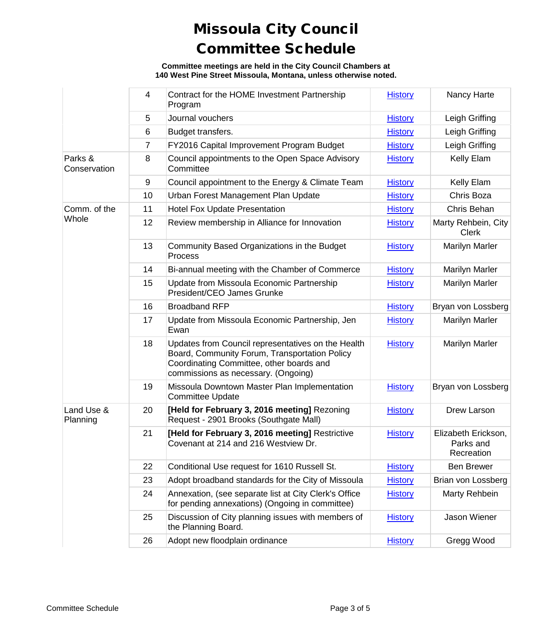**Committee meetings are held in the City Council Chambers at 140 West Pine Street Missoula, Montana, unless otherwise noted.**

|                         | $\overline{4}$ | Contract for the HOME Investment Partnership<br>Program                                                                                                                                | <b>History</b> | Nancy Harte                                    |
|-------------------------|----------------|----------------------------------------------------------------------------------------------------------------------------------------------------------------------------------------|----------------|------------------------------------------------|
|                         | 5              | Journal vouchers                                                                                                                                                                       | <b>History</b> | Leigh Griffing                                 |
|                         | 6              | Budget transfers.                                                                                                                                                                      | <b>History</b> | Leigh Griffing                                 |
|                         | 7              | FY2016 Capital Improvement Program Budget                                                                                                                                              | <b>History</b> | Leigh Griffing                                 |
| Parks &<br>Conservation | 8              | Council appointments to the Open Space Advisory<br>Committee                                                                                                                           | <b>History</b> | Kelly Elam                                     |
|                         | $9\,$          | Council appointment to the Energy & Climate Team                                                                                                                                       | <b>History</b> | Kelly Elam                                     |
|                         | 10             | Urban Forest Management Plan Update                                                                                                                                                    | <b>History</b> | Chris Boza                                     |
| Comm. of the            | 11             | <b>Hotel Fox Update Presentation</b>                                                                                                                                                   | <b>History</b> | Chris Behan                                    |
| Whole                   | 12             | Review membership in Alliance for Innovation                                                                                                                                           | <b>History</b> | Marty Rehbein, City<br><b>Clerk</b>            |
|                         | 13             | Community Based Organizations in the Budget<br>Process                                                                                                                                 | <b>History</b> | Marilyn Marler                                 |
|                         | 14             | Bi-annual meeting with the Chamber of Commerce                                                                                                                                         | <b>History</b> | <b>Marilyn Marler</b>                          |
|                         | 15             | Update from Missoula Economic Partnership<br>President/CEO James Grunke                                                                                                                | <b>History</b> | <b>Marilyn Marler</b>                          |
|                         | 16             | <b>Broadband RFP</b>                                                                                                                                                                   | <b>History</b> | Bryan von Lossberg                             |
|                         | 17             | Update from Missoula Economic Partnership, Jen<br>Ewan                                                                                                                                 | <b>History</b> | <b>Marilyn Marler</b>                          |
|                         | 18             | Updates from Council representatives on the Health<br>Board, Community Forum, Transportation Policy<br>Coordinating Committee, other boards and<br>commissions as necessary. (Ongoing) | <b>History</b> | <b>Marilyn Marler</b>                          |
|                         | 19             | Missoula Downtown Master Plan Implementation<br><b>Committee Update</b>                                                                                                                | <b>History</b> | Bryan von Lossberg                             |
| Land Use &<br>Planning  | 20             | [Held for February 3, 2016 meeting] Rezoning<br>Request - 2901 Brooks (Southgate Mall)                                                                                                 | <b>History</b> | Drew Larson                                    |
|                         | 21             | [Held for February 3, 2016 meeting] Restrictive<br>Covenant at 214 and 216 Westview Dr.                                                                                                | <b>History</b> | Elizabeth Erickson,<br>Parks and<br>Recreation |
|                         | 22             | Conditional Use request for 1610 Russell St.                                                                                                                                           | <b>History</b> | <b>Ben Brewer</b>                              |
|                         | 23             | Adopt broadband standards for the City of Missoula                                                                                                                                     | <b>History</b> | Brian von Lossberg                             |
|                         | 24             | Annexation, (see separate list at City Clerk's Office<br>for pending annexations) (Ongoing in committee)                                                                               | <b>History</b> | Marty Rehbein                                  |
|                         | 25             | Discussion of City planning issues with members of<br>the Planning Board.                                                                                                              | <b>History</b> | Jason Wiener                                   |
|                         | 26             | Adopt new floodplain ordinance                                                                                                                                                         | <b>History</b> | Gregg Wood                                     |
|                         |                |                                                                                                                                                                                        |                |                                                |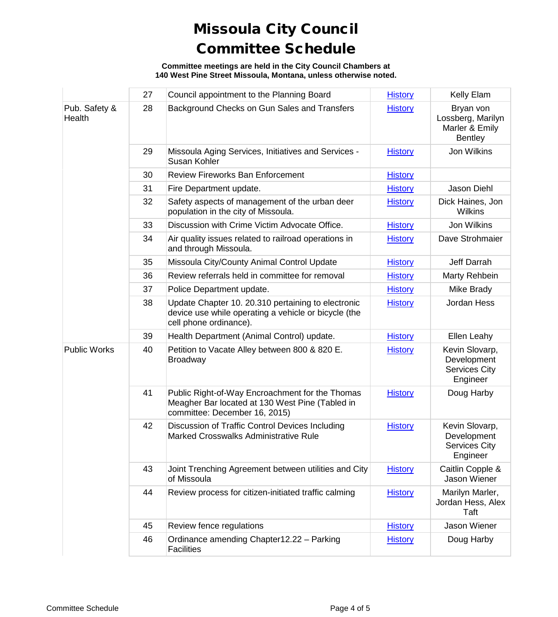**Committee meetings are held in the City Council Chambers at 140 West Pine Street Missoula, Montana, unless otherwise noted.**

|                         | 27 | Council appointment to the Planning Board                                                                                            | <b>History</b> | Kelly Elam                                                         |
|-------------------------|----|--------------------------------------------------------------------------------------------------------------------------------------|----------------|--------------------------------------------------------------------|
| Pub. Safety &<br>Health | 28 | Background Checks on Gun Sales and Transfers                                                                                         | <b>History</b> | Bryan von<br>Lossberg, Marilyn<br>Marler & Emily<br><b>Bentley</b> |
|                         | 29 | Missoula Aging Services, Initiatives and Services -<br>Susan Kohler                                                                  | <b>History</b> | Jon Wilkins                                                        |
|                         | 30 | <b>Review Fireworks Ban Enforcement</b>                                                                                              | <b>History</b> |                                                                    |
|                         | 31 | Fire Department update.                                                                                                              | <b>History</b> | Jason Diehl                                                        |
|                         | 32 | Safety aspects of management of the urban deer<br>population in the city of Missoula.                                                | <b>History</b> | Dick Haines, Jon<br><b>Wilkins</b>                                 |
|                         | 33 | Discussion with Crime Victim Advocate Office.                                                                                        | <b>History</b> | Jon Wilkins                                                        |
|                         | 34 | Air quality issues related to railroad operations in<br>and through Missoula.                                                        | <b>History</b> | Dave Strohmaier                                                    |
|                         | 35 | Missoula City/County Animal Control Update                                                                                           | <b>History</b> | Jeff Darrah                                                        |
|                         | 36 | Review referrals held in committee for removal                                                                                       | <b>History</b> | Marty Rehbein                                                      |
|                         | 37 | Police Department update.                                                                                                            | <b>History</b> | Mike Brady                                                         |
|                         | 38 | Update Chapter 10. 20.310 pertaining to electronic<br>device use while operating a vehicle or bicycle (the<br>cell phone ordinance). | <b>History</b> | Jordan Hess                                                        |
|                         | 39 | Health Department (Animal Control) update.                                                                                           | <b>History</b> | Ellen Leahy                                                        |
| <b>Public Works</b>     | 40 | Petition to Vacate Alley between 800 & 820 E.<br><b>Broadway</b>                                                                     | <b>History</b> | Kevin Slovarp,<br>Development<br><b>Services City</b><br>Engineer  |
|                         | 41 | Public Right-of-Way Encroachment for the Thomas<br>Meagher Bar located at 130 West Pine (Tabled in<br>committee: December 16, 2015)  | <b>History</b> | Doug Harby                                                         |
|                         | 42 | Discussion of Traffic Control Devices Including<br>Marked Crosswalks Administrative Rule                                             | <b>History</b> | Kevin Slovarp,<br>Development<br><b>Services City</b><br>Engineer  |
|                         | 43 | Joint Trenching Agreement between utilities and City<br>of Missoula                                                                  | <b>History</b> | Caitlin Copple &<br>Jason Wiener                                   |
|                         | 44 | Review process for citizen-initiated traffic calming                                                                                 | <b>History</b> | Marilyn Marler,<br>Jordan Hess, Alex<br>Taft                       |
|                         | 45 | Review fence regulations                                                                                                             | <b>History</b> | Jason Wiener                                                       |
|                         | 46 | Ordinance amending Chapter12.22 - Parking<br><b>Facilities</b>                                                                       | <b>History</b> | Doug Harby                                                         |